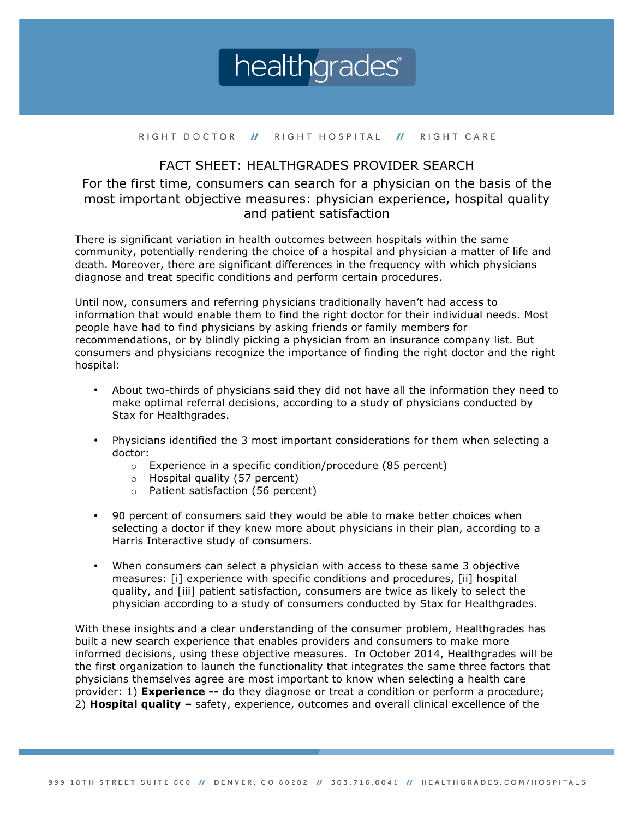

#### RIGHT DOCTOR // RIGHT HOSPITAL // RIGHT CARE

# FACT SHEET: HEALTHGRADES PROVIDER SEARCH

For the first time, consumers can search for a physician on the basis of the most important objective measures: physician experience, hospital quality and patient satisfaction

There is significant variation in health outcomes between hospitals within the same community, potentially rendering the choice of a hospital and physician a matter of life and death. Moreover, there are significant differences in the frequency with which physicians diagnose and treat specific conditions and perform certain procedures.

Until now, consumers and referring physicians traditionally haven't had access to information that would enable them to find the right doctor for their individual needs. Most people have had to find physicians by asking friends or family members for recommendations, or by blindly picking a physician from an insurance company list. But consumers and physicians recognize the importance of finding the right doctor and the right hospital:

- About two-thirds of physicians said they did not have all the information they need to make optimal referral decisions, according to a study of physicians conducted by Stax for Healthgrades.
- Physicians identified the 3 most important considerations for them when selecting a doctor:
	- o Experience in a specific condition/procedure (85 percent)
	- o Hospital quality (57 percent)
	- o Patient satisfaction (56 percent)
- 90 percent of consumers said they would be able to make better choices when selecting a doctor if they knew more about physicians in their plan, according to a Harris Interactive study of consumers.
- When consumers can select a physician with access to these same 3 objective measures: [i] experience with specific conditions and procedures, [ii] hospital quality, and [iii] patient satisfaction, consumers are twice as likely to select the physician according to a study of consumers conducted by Stax for Healthgrades.

With these insights and a clear understanding of the consumer problem, Healthgrades has built a new search experience that enables providers and consumers to make more informed decisions, using these objective measures. In October 2014, Healthgrades will be the first organization to launch the functionality that integrates the same three factors that physicians themselves agree are most important to know when selecting a health care provider: 1) **Experience --** do they diagnose or treat a condition or perform a procedure; 2) **Hospital quality –** safety, experience, outcomes and overall clinical excellence of the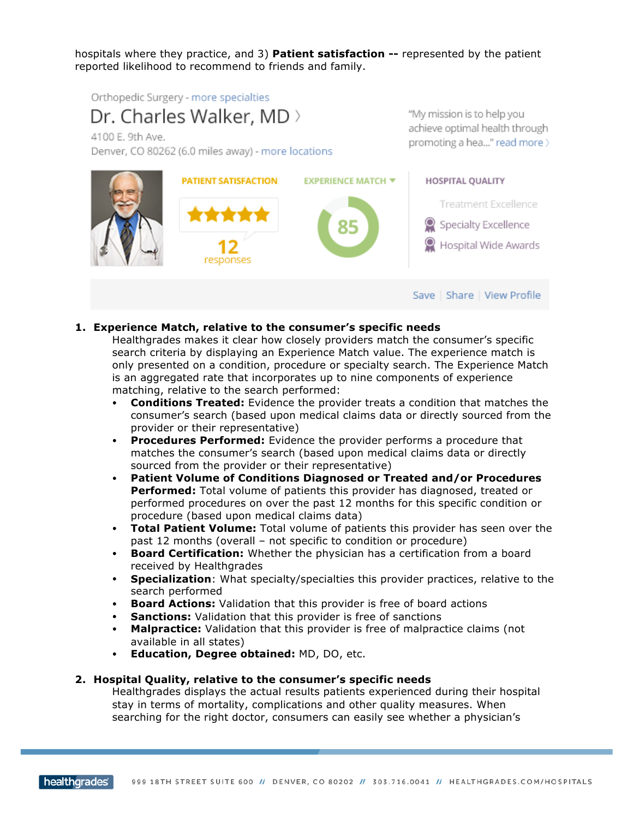hospitals where they practice, and 3) **Patient satisfaction --** represented by the patient reported likelihood to recommend to friends and family.

Orthopedic Surgery - more specialties

Dr. Charles Walker, MD >

4100 E. 9th Ave.

Denver, CO 80262 (6.0 miles away) - more locations

"My mission is to help you achieve optimal health through promoting a hea..." read more >



# **1. Experience Match, relative to the consumer's specific needs**

Healthgrades makes it clear how closely providers match the consumer's specific search criteria by displaying an Experience Match value. The experience match is only presented on a condition, procedure or specialty search. The Experience Match is an aggregated rate that incorporates up to nine components of experience matching, relative to the search performed:

- **Conditions Treated:** Evidence the provider treats a condition that matches the consumer's search (based upon medical claims data or directly sourced from the provider or their representative)
- **Procedures Performed:** Evidence the provider performs a procedure that matches the consumer's search (based upon medical claims data or directly sourced from the provider or their representative)
- **Patient Volume of Conditions Diagnosed or Treated and/or Procedures Performed:** Total volume of patients this provider has diagnosed, treated or performed procedures on over the past 12 months for this specific condition or procedure (based upon medical claims data)
- **Total Patient Volume:** Total volume of patients this provider has seen over the past 12 months (overall – not specific to condition or procedure)
- **Board Certification:** Whether the physician has a certification from a board received by Healthgrades
- **Specialization**: What specialty/specialties this provider practices, relative to the search performed
- **Board Actions:** Validation that this provider is free of board actions
- **Sanctions:** Validation that this provider is free of sanctions
- **Malpractice:** Validation that this provider is free of malpractice claims (not available in all states)
- **Education, Degree obtained:** MD, DO, etc.

### **2. Hospital Quality, relative to the consumer's specific needs**

Healthgrades displays the actual results patients experienced during their hospital stay in terms of mortality, complications and other quality measures. When searching for the right doctor, consumers can easily see whether a physician's